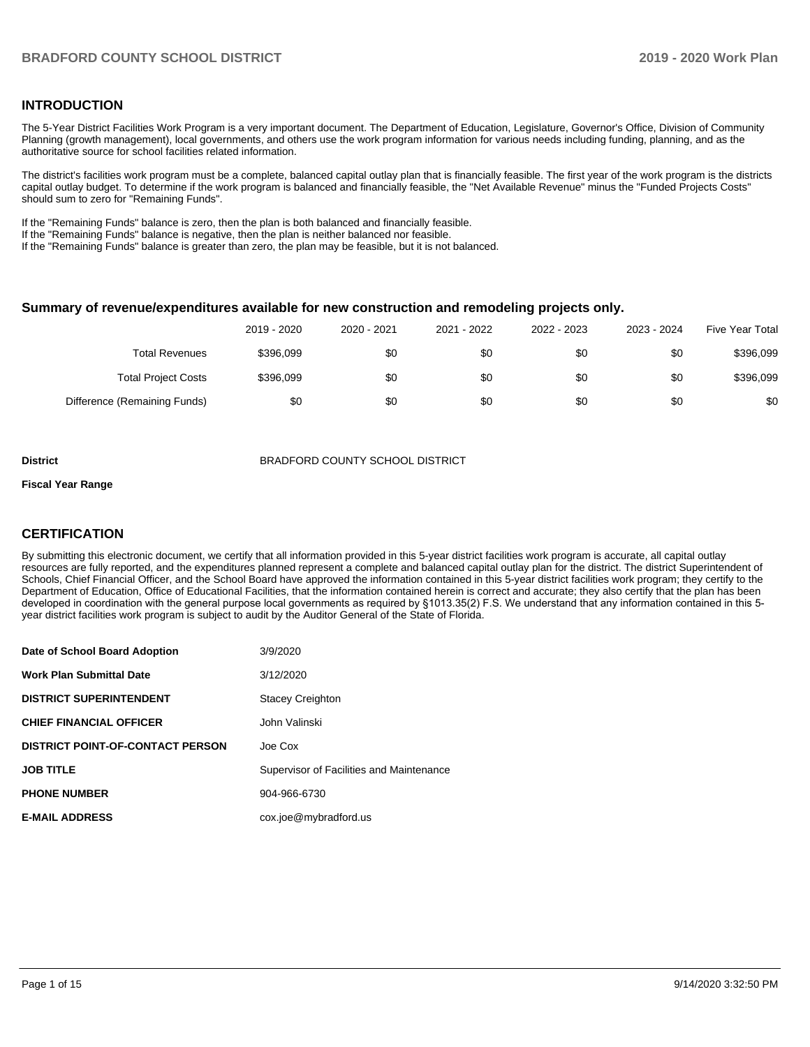### **INTRODUCTION**

The 5-Year District Facilities Work Program is a very important document. The Department of Education, Legislature, Governor's Office, Division of Community Planning (growth management), local governments, and others use the work program information for various needs including funding, planning, and as the authoritative source for school facilities related information.

The district's facilities work program must be a complete, balanced capital outlay plan that is financially feasible. The first year of the work program is the districts capital outlay budget. To determine if the work program is balanced and financially feasible, the "Net Available Revenue" minus the "Funded Projects Costs" should sum to zero for "Remaining Funds".

If the "Remaining Funds" balance is zero, then the plan is both balanced and financially feasible.

If the "Remaining Funds" balance is negative, then the plan is neither balanced nor feasible.

If the "Remaining Funds" balance is greater than zero, the plan may be feasible, but it is not balanced.

#### **Summary of revenue/expenditures available for new construction and remodeling projects only.**

| <b>Five Year Total</b> | 2023 - 2024 | 2022 - 2023 | 2021 - 2022 | 2020 - 2021 | 2019 - 2020 |                              |
|------------------------|-------------|-------------|-------------|-------------|-------------|------------------------------|
| \$396,099              | \$0         | \$0         | \$0         | \$0         | \$396.099   | <b>Total Revenues</b>        |
| \$396,099              | \$0         | \$0         | \$0         | \$0         | \$396.099   | <b>Total Project Costs</b>   |
| \$0                    | \$0         | \$0         | \$0         | \$0         | \$0         | Difference (Remaining Funds) |

**District BRADFORD COUNTY SCHOOL DISTRICT** 

#### **Fiscal Year Range**

### **CERTIFICATION**

By submitting this electronic document, we certify that all information provided in this 5-year district facilities work program is accurate, all capital outlay resources are fully reported, and the expenditures planned represent a complete and balanced capital outlay plan for the district. The district Superintendent of Schools, Chief Financial Officer, and the School Board have approved the information contained in this 5-year district facilities work program; they certify to the Department of Education, Office of Educational Facilities, that the information contained herein is correct and accurate; they also certify that the plan has been developed in coordination with the general purpose local governments as required by §1013.35(2) F.S. We understand that any information contained in this 5 year district facilities work program is subject to audit by the Auditor General of the State of Florida.

| Date of School Board Adoption           | 3/9/2020                                 |
|-----------------------------------------|------------------------------------------|
| <b>Work Plan Submittal Date</b>         | 3/12/2020                                |
| <b>DISTRICT SUPERINTENDENT</b>          | <b>Stacey Creighton</b>                  |
| <b>CHIEF FINANCIAL OFFICER</b>          | John Valinski                            |
| <b>DISTRICT POINT-OF-CONTACT PERSON</b> | Joe Cox                                  |
| <b>JOB TITLE</b>                        | Supervisor of Facilities and Maintenance |
| <b>PHONE NUMBER</b>                     | 904-966-6730                             |
| <b>E-MAIL ADDRESS</b>                   | cox.joe@mybradford.us                    |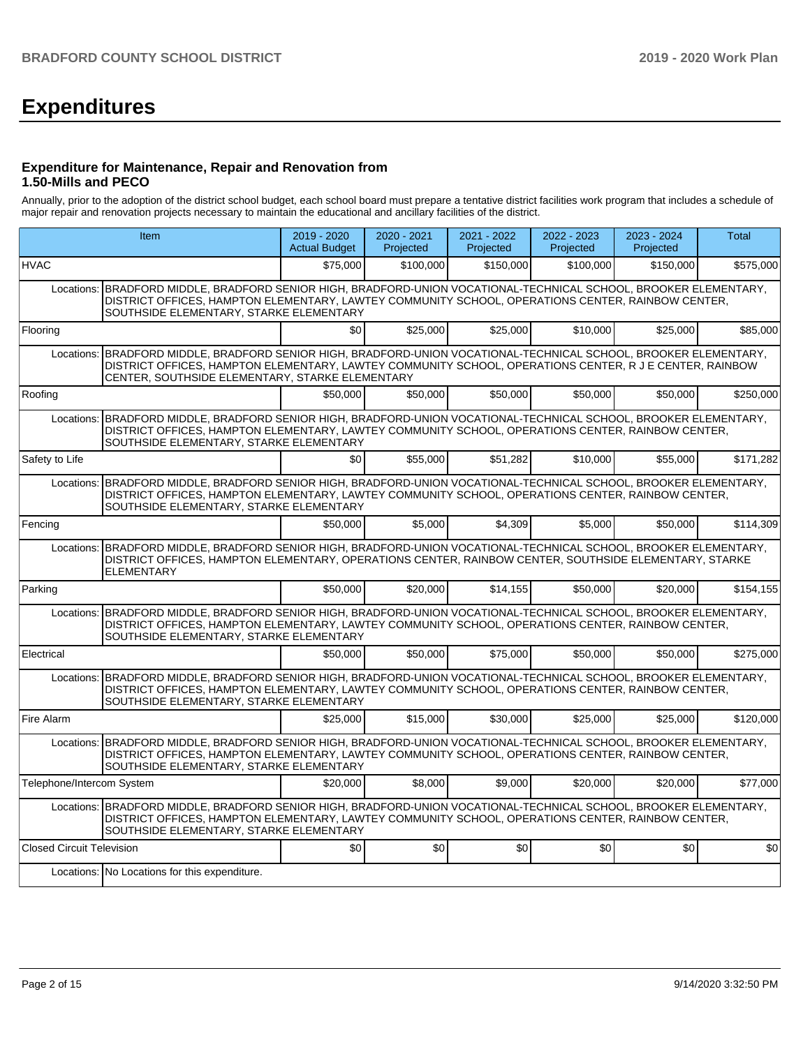# **Expenditures**

#### **Expenditure for Maintenance, Repair and Renovation from 1.50-Mills and PECO**

Annually, prior to the adoption of the district school budget, each school board must prepare a tentative district facilities work program that includes a schedule of major repair and renovation projects necessary to maintain the educational and ancillary facilities of the district.

|                                  | Item                                                                                                                                                                                                                                                                            | $2019 - 2020$<br><b>Actual Budget</b> | $2020 - 2021$<br>Projected | $2021 - 2022$<br>Projected | 2022 - 2023<br>Projected | $2023 - 2024$<br>Projected | Total     |
|----------------------------------|---------------------------------------------------------------------------------------------------------------------------------------------------------------------------------------------------------------------------------------------------------------------------------|---------------------------------------|----------------------------|----------------------------|--------------------------|----------------------------|-----------|
| <b>HVAC</b>                      |                                                                                                                                                                                                                                                                                 | \$75,000                              | \$100.000                  | \$150,000                  | \$100.000                | \$150,000                  | \$575,000 |
|                                  | Locations: BRADFORD MIDDLE, BRADFORD SENIOR HIGH, BRADFORD-UNION VOCATIONAL-TECHNICAL SCHOOL, BROOKER ELEMENTARY,<br>DISTRICT OFFICES, HAMPTON ELEMENTARY, LAWTEY COMMUNITY SCHOOL, OPERATIONS CENTER, RAINBOW CENTER,<br>SOUTHSIDE ELEMENTARY, STARKE ELEMENTARY               |                                       |                            |                            |                          |                            |           |
| Flooring                         |                                                                                                                                                                                                                                                                                 | \$0                                   | \$25,000                   | \$25,000                   | \$10,000                 | \$25,000                   | \$85,000  |
|                                  | Locations: BRADFORD MIDDLE, BRADFORD SENIOR HIGH, BRADFORD-UNION VOCATIONAL-TECHNICAL SCHOOL, BROOKER ELEMENTARY,<br>DISTRICT OFFICES, HAMPTON ELEMENTARY, LAWTEY COMMUNITY SCHOOL, OPERATIONS CENTER, R J E CENTER, RAINBOW<br>CENTER, SOUTHSIDE ELEMENTARY, STARKE ELEMENTARY |                                       |                            |                            |                          |                            |           |
| Roofing                          |                                                                                                                                                                                                                                                                                 | \$50,000                              | \$50,000                   | \$50,000                   | \$50,000                 | \$50,000                   | \$250,000 |
|                                  | Locations: BRADFORD MIDDLE, BRADFORD SENIOR HIGH, BRADFORD-UNION VOCATIONAL-TECHNICAL SCHOOL, BROOKER ELEMENTARY,<br>DISTRICT OFFICES, HAMPTON ELEMENTARY, LAWTEY COMMUNITY SCHOOL, OPERATIONS CENTER, RAINBOW CENTER,<br>SOUTHSIDE ELEMENTARY, STARKE ELEMENTARY               |                                       |                            |                            |                          |                            |           |
| Safety to Life                   |                                                                                                                                                                                                                                                                                 | \$0 <sub>1</sub>                      | \$55,000                   | \$51,282                   | \$10,000                 | \$55,000                   | \$171,282 |
| Locations:                       | BRADFORD MIDDLE, BRADFORD SENIOR HIGH, BRADFORD-UNION VOCATIONAL-TECHNICAL SCHOOL, BROOKER ELEMENTARY,<br>DISTRICT OFFICES, HAMPTON ELEMENTARY, LAWTEY COMMUNITY SCHOOL, OPERATIONS CENTER, RAINBOW CENTER,<br>SOUTHSIDE ELEMENTARY, STARKE ELEMENTARY                          |                                       |                            |                            |                          |                            |           |
| Fencing                          |                                                                                                                                                                                                                                                                                 | \$50,000                              | \$5.000                    | \$4.309                    | \$5.000                  | \$50,000                   | \$114,309 |
|                                  | Locations: BRADFORD MIDDLE, BRADFORD SENIOR HIGH, BRADFORD-UNION VOCATIONAL-TECHNICAL SCHOOL, BROOKER ELEMENTARY,<br>DISTRICT OFFICES, HAMPTON ELEMENTARY, OPERATIONS CENTER, RAINBOW CENTER, SOUTHSIDE ELEMENTARY, STARKE<br><b>ELEMENTARY</b>                                 |                                       |                            |                            |                          |                            |           |
| Parking                          |                                                                                                                                                                                                                                                                                 | \$50,000                              | \$20,000                   | \$14.155                   | \$50,000                 | \$20,000                   | \$154,155 |
|                                  | Locations: BRADFORD MIDDLE, BRADFORD SENIOR HIGH, BRADFORD-UNION VOCATIONAL-TECHNICAL SCHOOL, BROOKER ELEMENTARY,<br>DISTRICT OFFICES, HAMPTON ELEMENTARY, LAWTEY COMMUNITY SCHOOL, OPERATIONS CENTER, RAINBOW CENTER,<br>SOUTHSIDE ELEMENTARY, STARKE ELEMENTARY               |                                       |                            |                            |                          |                            |           |
| Electrical                       |                                                                                                                                                                                                                                                                                 | \$50,000                              | \$50,000                   | \$75,000                   | \$50,000                 | \$50,000                   | \$275,000 |
|                                  | Locations: BRADFORD MIDDLE, BRADFORD SENIOR HIGH, BRADFORD-UNION VOCATIONAL-TECHNICAL SCHOOL, BROOKER ELEMENTARY,<br>DISTRICT OFFICES, HAMPTON ELEMENTARY, LAWTEY COMMUNITY SCHOOL, OPERATIONS CENTER, RAINBOW CENTER,<br>SOUTHSIDE ELEMENTARY, STARKE ELEMENTARY               |                                       |                            |                            |                          |                            |           |
| Fire Alarm                       |                                                                                                                                                                                                                                                                                 | \$25,000                              | \$15,000                   | \$30,000                   | \$25,000                 | \$25,000                   | \$120,000 |
|                                  | Locations: BRADFORD MIDDLE, BRADFORD SENIOR HIGH, BRADFORD-UNION VOCATIONAL-TECHNICAL SCHOOL, BROOKER ELEMENTARY,<br>DISTRICT OFFICES, HAMPTON ELEMENTARY, LAWTEY COMMUNITY SCHOOL, OPERATIONS CENTER, RAINBOW CENTER,<br>SOUTHSIDE ELEMENTARY, STARKE ELEMENTARY               |                                       |                            |                            |                          |                            |           |
| Telephone/Intercom System        |                                                                                                                                                                                                                                                                                 | \$20,000                              | \$8,000                    | \$9.000                    | \$20,000                 | \$20,000                   | \$77,000  |
|                                  | Locations: BRADFORD MIDDLE, BRADFORD SENIOR HIGH, BRADFORD-UNION VOCATIONAL-TECHNICAL SCHOOL, BROOKER ELEMENTARY,<br>DISTRICT OFFICES, HAMPTON ELEMENTARY, LAWTEY COMMUNITY SCHOOL, OPERATIONS CENTER, RAINBOW CENTER,<br>SOUTHSIDE ELEMENTARY, STARKE ELEMENTARY               |                                       |                            |                            |                          |                            |           |
| <b>Closed Circuit Television</b> |                                                                                                                                                                                                                                                                                 | \$0                                   | \$0                        | \$0                        | \$0                      | \$0                        | \$0       |
|                                  | Locations: No Locations for this expenditure.                                                                                                                                                                                                                                   |                                       |                            |                            |                          |                            |           |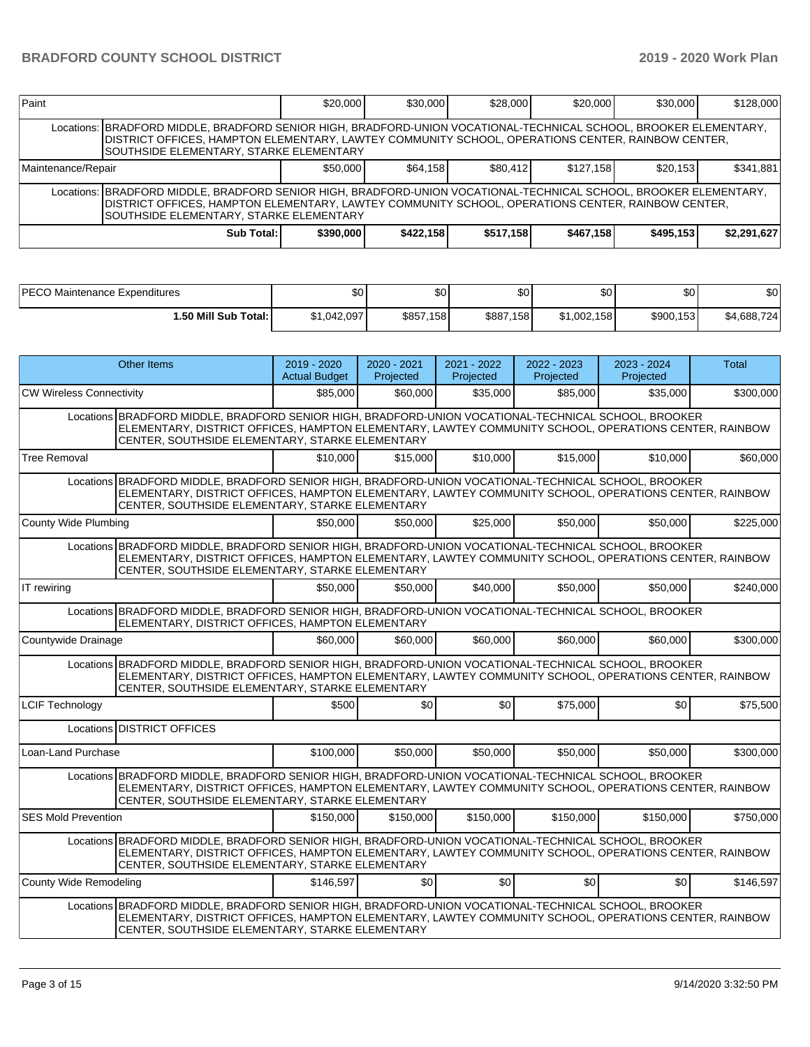| Paint                                                                                                                                                                                                                                                              |                                                                                                                                                                                                                                                                     | \$20,000 | \$30,000 | \$28,000 | \$20,000  | \$30,000 | \$128,000 |  |  |  |  |
|--------------------------------------------------------------------------------------------------------------------------------------------------------------------------------------------------------------------------------------------------------------------|---------------------------------------------------------------------------------------------------------------------------------------------------------------------------------------------------------------------------------------------------------------------|----------|----------|----------|-----------|----------|-----------|--|--|--|--|
|                                                                                                                                                                                                                                                                    | Locations:   BRADFORD MIDDLE, BRADFORD SENIOR HIGH, BRADFORD-UNION VOCATIONAL-TECHNICAL SCHOOL, BROOKER ELEMENTARY,<br>DISTRICT OFFICES, HAMPTON ELEMENTARY, LAWTEY COMMUNITY SCHOOL, OPERATIONS CENTER, RAINBOW CENTER,<br>SOUTHSIDE ELEMENTARY, STARKE ELEMENTARY |          |          |          |           |          |           |  |  |  |  |
| Maintenance/Repair                                                                                                                                                                                                                                                 |                                                                                                                                                                                                                                                                     | \$50,000 | \$64.158 | \$80.412 | \$127.158 | \$20.153 | \$341.881 |  |  |  |  |
| Locations:  BRADFORD MIDDLE, BRADFORD SENIOR HIGH, BRADFORD-UNION VOCATIONAL-TECHNICAL SCHOOL, BROOKER ELEMENTARY,<br>DISTRICT OFFICES, HAMPTON ELEMENTARY, LAWTEY COMMUNITY SCHOOL, OPERATIONS CENTER, RAINBOW CENTER,<br>SOUTHSIDE ELEMENTARY, STARKE ELEMENTARY |                                                                                                                                                                                                                                                                     |          |          |          |           |          |           |  |  |  |  |
| \$467,158<br>\$422.158<br>\$517.158<br>\$495,153<br>\$2,291,627<br>Sub Total:<br>\$390,000                                                                                                                                                                         |                                                                                                                                                                                                                                                                     |          |          |          |           |          |           |  |  |  |  |

| <b>PECO Maintenance Expenditures</b> | \$01        | $\sim$<br>Ψ∪   | ሖ<br>Ψ    | $\sim$<br>υU | ሶስ<br>ΦU  | \$0         |
|--------------------------------------|-------------|----------------|-----------|--------------|-----------|-------------|
| 1.50 Mill Sub Total: I               | \$1.042.097 | \$857,<br>.158 | \$887,158 | \$1.002.158  | \$900,153 | \$4,688,724 |

|                                 | <b>Other Items</b>                                                                                                                                                                                                                                               | $2019 - 2020$<br><b>Actual Budget</b> | $2020 - 2021$<br>Projected | 2021 - 2022<br>Projected | 2022 - 2023<br>Projected | 2023 - 2024<br>Projected | Total     |
|---------------------------------|------------------------------------------------------------------------------------------------------------------------------------------------------------------------------------------------------------------------------------------------------------------|---------------------------------------|----------------------------|--------------------------|--------------------------|--------------------------|-----------|
| <b>CW Wireless Connectivity</b> |                                                                                                                                                                                                                                                                  | \$85,000                              | \$60,000                   | \$35,000                 | \$85,000                 | \$35,000                 | \$300,000 |
|                                 | Locations BRADFORD MIDDLE. BRADFORD SENIOR HIGH. BRADFORD-UNION VOCATIONAL-TECHNICAL SCHOOL. BROOKER<br>ELEMENTARY, DISTRICT OFFICES, HAMPTON ELEMENTARY, LAWTEY COMMUNITY SCHOOL, OPERATIONS CENTER, RAINBOW<br>CENTER, SOUTHSIDE ELEMENTARY, STARKE ELEMENTARY |                                       |                            |                          |                          |                          |           |
| <b>Tree Removal</b>             |                                                                                                                                                                                                                                                                  | \$10,000                              | \$15,000                   | \$10,000                 | \$15,000                 | \$10,000                 | \$60,000  |
|                                 | Locations BRADFORD MIDDLE, BRADFORD SENIOR HIGH, BRADFORD-UNION VOCATIONAL-TECHNICAL SCHOOL, BROOKER<br>ELEMENTARY, DISTRICT OFFICES, HAMPTON ELEMENTARY, LAWTEY COMMUNITY SCHOOL, OPERATIONS CENTER, RAINBOW<br>CENTER, SOUTHSIDE ELEMENTARY, STARKE ELEMENTARY |                                       |                            |                          |                          |                          |           |
| County Wide Plumbing            |                                                                                                                                                                                                                                                                  | \$50,000                              | \$50,000                   | \$25,000                 | \$50,000                 | \$50,000                 | \$225.000 |
|                                 | Locations BRADFORD MIDDLE. BRADFORD SENIOR HIGH. BRADFORD-UNION VOCATIONAL-TECHNICAL SCHOOL. BROOKER<br>ELEMENTARY, DISTRICT OFFICES, HAMPTON ELEMENTARY, LAWTEY COMMUNITY SCHOOL, OPERATIONS CENTER, RAINBOW<br>CENTER, SOUTHSIDE ELEMENTARY, STARKE ELEMENTARY |                                       |                            |                          |                          |                          |           |
| IT rewiring                     |                                                                                                                                                                                                                                                                  | \$50,000                              | \$50,000                   | \$40,000                 | \$50,000                 | \$50,000                 | \$240,000 |
|                                 | Locations BRADFORD MIDDLE, BRADFORD SENIOR HIGH, BRADFORD-UNION VOCATIONAL-TECHNICAL SCHOOL, BROOKER<br>ELEMENTARY, DISTRICT OFFICES, HAMPTON ELEMENTARY                                                                                                         |                                       |                            |                          |                          |                          |           |
| Countywide Drainage             |                                                                                                                                                                                                                                                                  | \$60,000                              | \$60,000                   | \$60,000                 | \$60,000                 | \$60,000                 | \$300,000 |
|                                 | Locations BRADFORD MIDDLE, BRADFORD SENIOR HIGH, BRADFORD-UNION VOCATIONAL-TECHNICAL SCHOOL, BROOKER<br>ELEMENTARY, DISTRICT OFFICES, HAMPTON ELEMENTARY, LAWTEY COMMUNITY SCHOOL, OPERATIONS CENTER, RAINBOW<br>CENTER, SOUTHSIDE ELEMENTARY, STARKE ELEMENTARY |                                       |                            |                          |                          |                          |           |
| <b>LCIF Technology</b>          |                                                                                                                                                                                                                                                                  | \$500                                 | \$0                        | \$0                      | \$75,000                 | \$0                      | \$75,500  |
|                                 | Locations DISTRICT OFFICES                                                                                                                                                                                                                                       |                                       |                            |                          |                          |                          |           |
| Loan-Land Purchase              |                                                                                                                                                                                                                                                                  | \$100,000                             | \$50,000                   | \$50,000                 | \$50,000                 | \$50,000                 | \$300,000 |
|                                 | Locations BRADFORD MIDDLE, BRADFORD SENIOR HIGH, BRADFORD-UNION VOCATIONAL-TECHNICAL SCHOOL, BROOKER<br>ELEMENTARY, DISTRICT OFFICES, HAMPTON ELEMENTARY, LAWTEY COMMUNITY SCHOOL, OPERATIONS CENTER, RAINBOW<br>CENTER, SOUTHSIDE ELEMENTARY, STARKE ELEMENTARY |                                       |                            |                          |                          |                          |           |
| <b>SES Mold Prevention</b>      |                                                                                                                                                                                                                                                                  | \$150,000                             | \$150,000                  | \$150,000                | \$150,000                | \$150.000                | \$750.000 |
|                                 | Locations BRADFORD MIDDLE, BRADFORD SENIOR HIGH, BRADFORD-UNION VOCATIONAL-TECHNICAL SCHOOL, BROOKER<br>ELEMENTARY, DISTRICT OFFICES, HAMPTON ELEMENTARY, LAWTEY COMMUNITY SCHOOL, OPERATIONS CENTER, RAINBOW<br>CENTER, SOUTHSIDE ELEMENTARY, STARKE ELEMENTARY |                                       |                            |                          |                          |                          |           |
| County Wide Remodeling          |                                                                                                                                                                                                                                                                  | \$146.597                             | \$0                        | \$0                      | \$0                      | \$0                      | \$146,597 |
|                                 | Locations BRADFORD MIDDLE, BRADFORD SENIOR HIGH, BRADFORD-UNION VOCATIONAL-TECHNICAL SCHOOL, BROOKER<br>ELEMENTARY, DISTRICT OFFICES, HAMPTON ELEMENTARY, LAWTEY COMMUNITY SCHOOL, OPERATIONS CENTER, RAINBOW<br>CENTER, SOUTHSIDE ELEMENTARY, STARKE ELEMENTARY |                                       |                            |                          |                          |                          |           |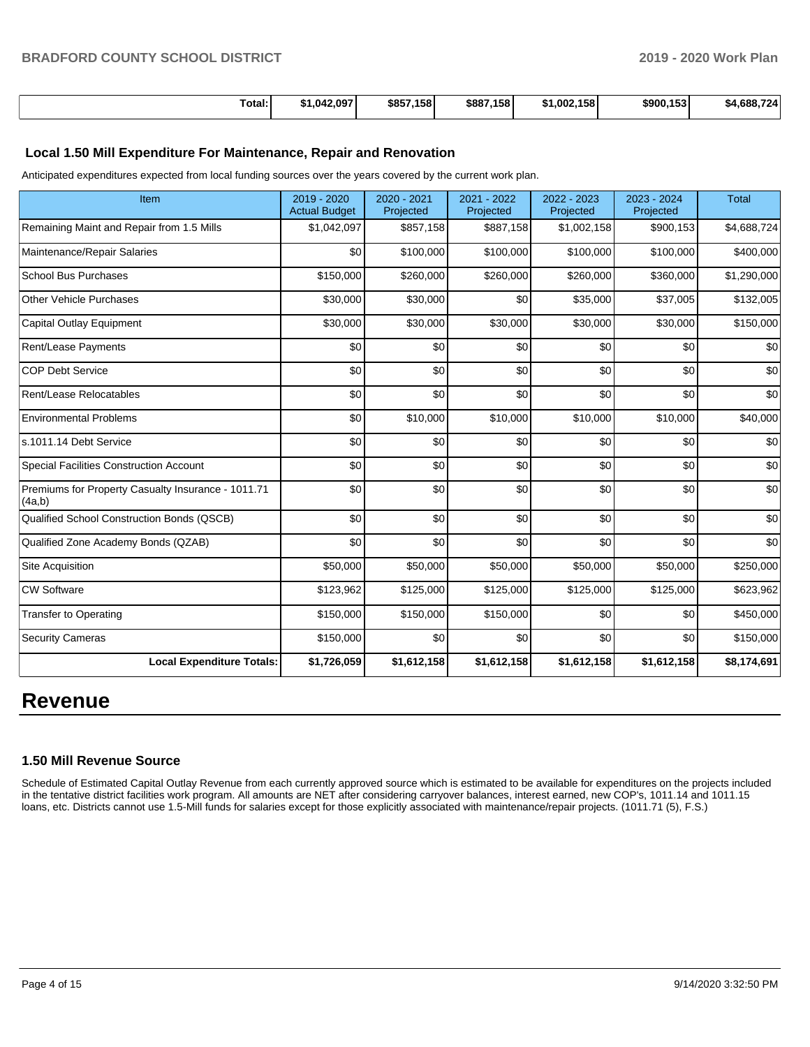| Total:<br>. | \$1.042.097 | \$857<br>7.158 l | \$887,158 | \$1,002,<br>1581 | \$900,153 | \$4,688,724 |
|-------------|-------------|------------------|-----------|------------------|-----------|-------------|
|-------------|-------------|------------------|-----------|------------------|-----------|-------------|

### **Local 1.50 Mill Expenditure For Maintenance, Repair and Renovation**

Anticipated expenditures expected from local funding sources over the years covered by the current work plan.

| Item                                                         | 2019 - 2020<br><b>Actual Budget</b> | 2020 - 2021<br>Projected | 2021 - 2022<br>Projected | 2022 - 2023<br>Projected | 2023 - 2024<br>Projected | <b>Total</b> |
|--------------------------------------------------------------|-------------------------------------|--------------------------|--------------------------|--------------------------|--------------------------|--------------|
| Remaining Maint and Repair from 1.5 Mills                    | \$1,042,097                         | \$857,158                | \$887,158                | \$1,002,158              | \$900,153                | \$4,688,724  |
| Maintenance/Repair Salaries                                  | \$0                                 | \$100,000                | \$100,000                | \$100,000                | \$100,000                | \$400,000    |
| <b>School Bus Purchases</b>                                  | \$150,000                           | \$260,000                | \$260,000                | \$260,000                | \$360,000                | \$1,290,000  |
| <b>Other Vehicle Purchases</b>                               | \$30,000                            | \$30,000                 | \$0                      | \$35,000                 | \$37,005                 | \$132,005    |
| Capital Outlay Equipment                                     | \$30,000                            | \$30,000                 | \$30,000                 | \$30,000                 | \$30,000                 | \$150,000    |
| Rent/Lease Payments                                          | \$0                                 | \$0                      | \$0                      | \$0                      | \$0                      | \$0          |
| <b>COP Debt Service</b>                                      | \$0                                 | \$0                      | \$0                      | \$0                      | \$0                      | \$0          |
| Rent/Lease Relocatables                                      | \$0                                 | \$0                      | \$0                      | \$0                      | \$0                      | \$0          |
| <b>Environmental Problems</b>                                | \$0                                 | \$10,000                 | \$10,000                 | \$10,000                 | \$10,000                 | \$40,000     |
| ls.1011.14 Debt Service                                      | \$0                                 | \$0                      | \$0                      | \$0                      | \$0                      | \$0          |
| <b>Special Facilities Construction Account</b>               | \$0                                 | \$0                      | \$0                      | \$0                      | \$0                      | \$0          |
| Premiums for Property Casualty Insurance - 1011.71<br>(4a,b) | \$0                                 | \$0                      | \$0                      | \$0                      | \$0                      | \$0          |
| Qualified School Construction Bonds (QSCB)                   | \$0                                 | \$0                      | \$0                      | \$0                      | \$0                      | \$0          |
| Qualified Zone Academy Bonds (QZAB)                          | \$0                                 | \$0                      | \$0                      | \$0                      | \$0                      | \$0          |
| Site Acquisition                                             | \$50,000                            | \$50,000                 | \$50,000                 | \$50,000                 | \$50,000                 | \$250,000    |
| <b>CW Software</b>                                           | \$123,962                           | \$125,000                | \$125,000                | \$125,000                | \$125,000                | \$623,962    |
| <b>Transfer to Operating</b>                                 | \$150,000                           | \$150,000                | \$150,000                | \$0                      | \$0                      | \$450,000    |
| <b>Security Cameras</b>                                      | \$150,000                           | \$0                      | \$0                      | \$0                      | \$0                      | \$150,000    |
| <b>Local Expenditure Totals:</b>                             | \$1,726,059                         | \$1,612,158              | \$1,612,158              | \$1,612,158              | \$1,612,158              | \$8,174,691  |

# **Revenue**

#### **1.50 Mill Revenue Source**

Schedule of Estimated Capital Outlay Revenue from each currently approved source which is estimated to be available for expenditures on the projects included in the tentative district facilities work program. All amounts are NET after considering carryover balances, interest earned, new COP's, 1011.14 and 1011.15 loans, etc. Districts cannot use 1.5-Mill funds for salaries except for those explicitly associated with maintenance/repair projects. (1011.71 (5), F.S.)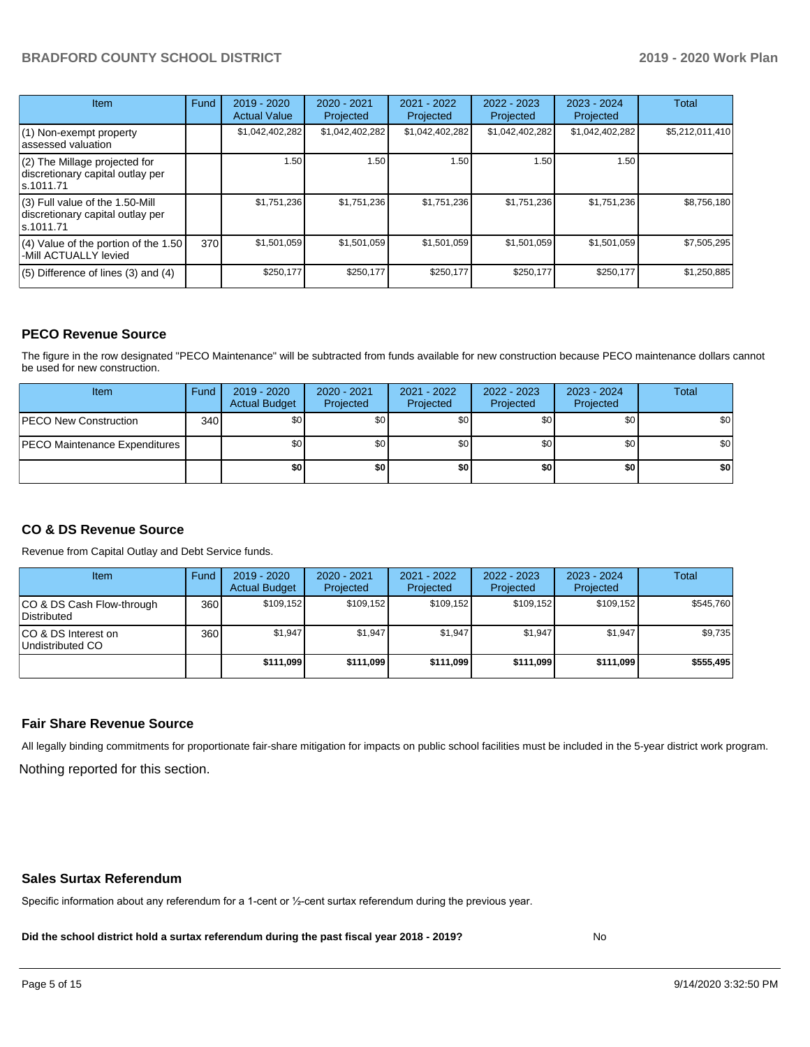## **BRADFORD COUNTY SCHOOL DISTRICT 2019 - 2020 Work Plan**

| <b>Item</b>                                                                         | Fund | $2019 - 2020$<br><b>Actual Value</b> | $2020 - 2021$<br>Projected | 2021 - 2022<br><b>Projected</b> | $2022 - 2023$<br>Projected | $2023 - 2024$<br>Projected | Total           |
|-------------------------------------------------------------------------------------|------|--------------------------------------|----------------------------|---------------------------------|----------------------------|----------------------------|-----------------|
| $(1)$ Non-exempt property<br>lassessed valuation                                    |      | \$1,042,402,282                      | \$1,042,402,282            | \$1,042,402,282                 | \$1,042,402,282            | \$1,042,402,282            | \$5,212,011,410 |
| (2) The Millage projected for<br>discretionary capital outlay per<br>ls.1011.71     |      | 1.50                                 | 1.50 l                     | 1.50                            | 1.50                       | 1.50                       |                 |
| $(3)$ Full value of the 1.50-Mill<br>discretionary capital outlay per<br>ls.1011.71 |      | \$1,751,236                          | \$1,751,236                | \$1,751,236                     | \$1,751,236                | \$1,751,236                | \$8,756,180     |
| $(4)$ Value of the portion of the 1.50<br>-Mill ACTUALLY levied                     | 370  | \$1,501,059                          | \$1,501,059                | \$1,501,059                     | \$1,501,059                | \$1,501,059                | \$7,505,295     |
| $(5)$ Difference of lines $(3)$ and $(4)$                                           |      | \$250,177                            | \$250.177                  | \$250.177                       | \$250,177                  | \$250,177                  | \$1,250,885     |

### **PECO Revenue Source**

The figure in the row designated "PECO Maintenance" will be subtracted from funds available for new construction because PECO maintenance dollars cannot be used for new construction.

| Item                                 | Fund | 2019 - 2020<br><b>Actual Budget</b> | 2020 - 2021<br>Projected | 2021 - 2022<br>Projected | $2022 - 2023$<br>Projected | 2023 - 2024<br>Projected | Total            |
|--------------------------------------|------|-------------------------------------|--------------------------|--------------------------|----------------------------|--------------------------|------------------|
| <b>PECO New Construction</b>         | 340  | \$0                                 | \$0 <sub>1</sub>         | \$0                      | \$0 <sub>0</sub>           | \$0 <sub>1</sub>         | \$0 <sub>1</sub> |
| <b>PECO Maintenance Expenditures</b> |      | ا 30                                | \$٥١                     | \$0                      | \$0 <sub>1</sub>           | \$0                      | \$0              |
|                                      |      | \$0                                 | \$0                      | \$0                      | \$0                        | \$0                      | \$0              |

## **CO & DS Revenue Source**

Revenue from Capital Outlay and Debt Service funds.

| Item                                      | Fund | 2019 - 2020<br><b>Actual Budget</b> | 2020 - 2021<br>Projected | 2021 - 2022<br>Projected | 2022 - 2023<br>Projected | $2023 - 2024$<br>Projected | Total     |
|-------------------------------------------|------|-------------------------------------|--------------------------|--------------------------|--------------------------|----------------------------|-----------|
| ICO & DS Cash Flow-through<br>Distributed | 360  | \$109.152                           | \$109.152                | \$109.152                | \$109.152                | \$109.152                  | \$545,760 |
| ICO & DS Interest on<br>Undistributed CO  | 360  | \$1.947                             | \$1.947                  | \$1.947                  | \$1.947                  | \$1.947                    | \$9,735   |
|                                           |      | \$111.099                           | \$111.099                | \$111.099                | \$111.099                | \$111.099                  | \$555,495 |

#### **Fair Share Revenue Source**

Nothing reported for this section. All legally binding commitments for proportionate fair-share mitigation for impacts on public school facilities must be included in the 5-year district work program.

#### **Sales Surtax Referendum**

Specific information about any referendum for a 1-cent or ½-cent surtax referendum during the previous year.

**Did the school district hold a surtax referendum during the past fiscal year 2018 - 2019?**

No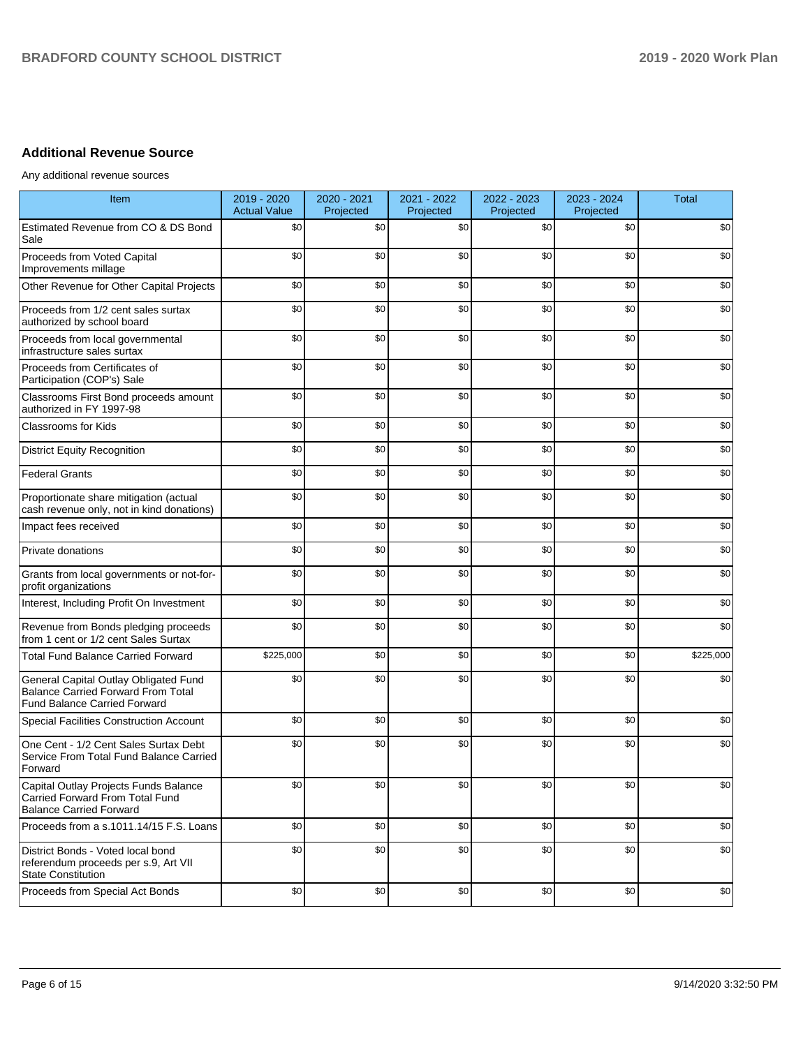# **Additional Revenue Source**

Any additional revenue sources

| Item                                                                                                                      | 2019 - 2020<br><b>Actual Value</b> | 2020 - 2021<br>Projected | 2021 - 2022<br>Projected | 2022 - 2023<br>Projected | 2023 - 2024<br>Projected | Total     |
|---------------------------------------------------------------------------------------------------------------------------|------------------------------------|--------------------------|--------------------------|--------------------------|--------------------------|-----------|
| Estimated Revenue from CO & DS Bond<br>Sale                                                                               | \$0                                | \$0                      | \$0                      | \$0                      | \$0                      | \$0       |
| Proceeds from Voted Capital<br>Improvements millage                                                                       | \$0                                | \$0                      | \$0                      | \$0                      | \$0                      | \$0       |
| Other Revenue for Other Capital Projects                                                                                  | \$0                                | \$0                      | \$0                      | \$0                      | \$0                      | \$0       |
| Proceeds from 1/2 cent sales surtax<br>authorized by school board                                                         | \$0                                | \$0                      | \$0                      | \$0                      | \$0                      | \$0       |
| Proceeds from local governmental<br>infrastructure sales surtax                                                           | \$0                                | \$0                      | \$0                      | \$0                      | \$0                      | \$0       |
| Proceeds from Certificates of<br>Participation (COP's) Sale                                                               | \$0                                | \$0                      | \$0                      | \$0                      | \$0                      | \$0       |
| Classrooms First Bond proceeds amount<br>authorized in FY 1997-98                                                         | \$0                                | \$0                      | \$0                      | \$0                      | \$0                      | \$0       |
| <b>Classrooms for Kids</b>                                                                                                | \$0                                | \$0                      | \$0                      | \$0                      | \$0                      | \$0       |
| <b>District Equity Recognition</b>                                                                                        | \$0                                | \$0                      | \$0                      | \$0                      | \$0                      | \$0       |
| <b>Federal Grants</b>                                                                                                     | \$0                                | \$0                      | \$0                      | \$0                      | \$0                      | \$0       |
| Proportionate share mitigation (actual<br>cash revenue only, not in kind donations)                                       | \$0                                | \$0                      | \$0                      | \$0                      | \$0                      | \$0       |
| Impact fees received                                                                                                      | \$0                                | \$0                      | \$0                      | \$0                      | \$0                      | \$0       |
| Private donations                                                                                                         | \$0                                | \$0                      | \$0                      | \$0                      | \$0                      | \$0       |
| Grants from local governments or not-for-<br>profit organizations                                                         | \$0                                | \$0                      | \$0                      | \$0                      | \$0                      | \$0       |
| Interest, Including Profit On Investment                                                                                  | \$0                                | \$0                      | \$0                      | \$0                      | \$0                      | \$0       |
| Revenue from Bonds pledging proceeds<br>from 1 cent or 1/2 cent Sales Surtax                                              | \$0                                | \$0                      | \$0                      | \$0                      | \$0                      | \$0       |
| <b>Total Fund Balance Carried Forward</b>                                                                                 | \$225,000                          | \$0                      | \$0                      | \$0                      | \$0                      | \$225,000 |
| General Capital Outlay Obligated Fund<br><b>Balance Carried Forward From Total</b><br><b>Fund Balance Carried Forward</b> | \$0                                | \$0                      | \$0                      | \$0                      | \$0                      | \$0       |
| <b>Special Facilities Construction Account</b>                                                                            | \$0                                | \$0                      | \$0                      | \$0                      | \$0                      | \$0       |
| One Cent - 1/2 Cent Sales Surtax Debt<br>Service From Total Fund Balance Carried<br>Forward                               | \$0                                | \$0                      | \$0                      | \$0                      | \$0                      | \$0       |
| Capital Outlay Projects Funds Balance<br>Carried Forward From Total Fund<br><b>Balance Carried Forward</b>                | \$0                                | \$0                      | \$0                      | \$0                      | \$0                      | \$0       |
| Proceeds from a s.1011.14/15 F.S. Loans                                                                                   | \$0                                | \$0                      | \$0                      | \$0                      | \$0                      | \$0       |
| District Bonds - Voted local bond<br>referendum proceeds per s.9, Art VII<br><b>State Constitution</b>                    | \$0                                | \$0                      | \$0                      | \$0                      | \$0                      | \$0       |
| Proceeds from Special Act Bonds                                                                                           | \$0                                | \$0                      | \$0                      | \$0                      | \$0                      | \$0       |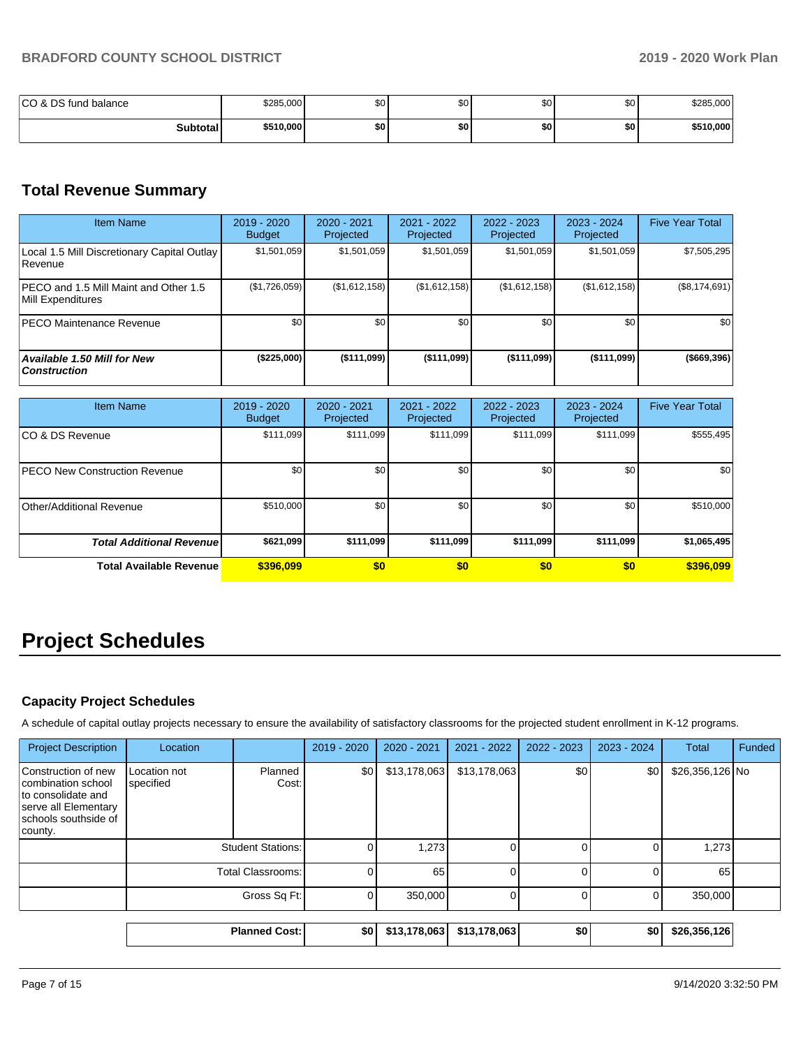| $1CO &$<br>DS fund balance | \$285.000 | $\sim$<br>wυ | ፍሰ<br>υυ | \$0 | $\sim$<br>ູນບ | \$285,000 |
|----------------------------|-----------|--------------|----------|-----|---------------|-----------|
| <b>Subtotal</b>            | \$510,000 | \$0          | \$0      | \$0 | \$0           | \$510,000 |

# **Total Revenue Summary**

| <b>Item Name</b>                                                  | 2019 - 2020<br><b>Budget</b> | $2020 - 2021$<br>Projected | 2021 - 2022<br>Projected | 2022 - 2023<br>Projected | $2023 - 2024$<br>Projected | <b>Five Year Total</b> |
|-------------------------------------------------------------------|------------------------------|----------------------------|--------------------------|--------------------------|----------------------------|------------------------|
| Local 1.5 Mill Discretionary Capital Outlay<br>l Revenue          | \$1.501.059                  | \$1,501,059                | \$1,501,059              | \$1,501,059              | \$1,501,059                | \$7,505,295            |
| <b>PECO</b> and 1.5 Mill Maint and Other 1.5<br>Mill Expenditures | (\$1,726,059)                | (S1, 612, 158)             | (\$1,612,158)            | (\$1,612,158)            | (\$1,612,158)              | (\$8,174,691)          |
| <b>PECO Maintenance Revenue</b>                                   | \$0                          | \$0                        | \$0                      | \$0                      | \$0                        | \$0                    |
| Available 1.50 Mill for New<br><b>Construction</b>                | (\$225,000)                  | (\$111,099)                | (\$111,099)              | ( \$111,099)             | (\$111,099)                | $($ \$669,396) $ $     |

| <b>Item Name</b>                     | 2019 - 2020<br><b>Budget</b> | 2020 - 2021<br>Projected | 2021 - 2022<br>Projected | 2022 - 2023<br>Projected | 2023 - 2024<br>Projected | <b>Five Year Total</b> |
|--------------------------------------|------------------------------|--------------------------|--------------------------|--------------------------|--------------------------|------------------------|
| ICO & DS Revenue                     | \$111,099                    | \$111,099                | \$111,099                | \$111,099                | \$111,099                | \$555,495              |
| <b>PECO New Construction Revenue</b> | \$0                          | \$0                      | \$0                      | \$0                      | \$0                      | \$0                    |
| Other/Additional Revenue             | \$510,000                    | \$0                      | \$0                      | \$0                      | \$0                      | \$510,000              |
| <b>Total Additional Revenuel</b>     | \$621,099                    | \$111,099                | \$111,099                | \$111,099                | \$111,099                | \$1,065,495            |
| <b>Total Available Revenue</b>       | \$396,099                    | \$0                      | \$0                      | \$0                      | \$0                      | \$396,099              |

# **Project Schedules**

# **Capacity Project Schedules**

A schedule of capital outlay projects necessary to ensure the availability of satisfactory classrooms for the projected student enrollment in K-12 programs.

| <b>Project Description</b>                                                                                                 | Location                  |                          | 2019 - 2020 | 2020 - 2021  | 2021 - 2022  | $2022 - 2023$ | 2023 - 2024 | Total           | Funded |
|----------------------------------------------------------------------------------------------------------------------------|---------------------------|--------------------------|-------------|--------------|--------------|---------------|-------------|-----------------|--------|
| Construction of new<br>combination school<br>to consolidate and<br>serve all Elementary<br>schools southside of<br>county. | Location not<br>specified | Planned<br>Cost:         | \$0         | \$13,178,063 | \$13,178,063 | \$0           | \$0         | \$26,356,126 No |        |
|                                                                                                                            |                           | <b>Student Stations:</b> |             | 1,273        |              |               |             | 1,273           |        |
|                                                                                                                            |                           | Total Classrooms:        |             | 65           |              |               |             | 65              |        |
|                                                                                                                            |                           | Gross Sq Ft:             | 0           | 350,000      | $\Omega$     |               |             | 350,000         |        |
|                                                                                                                            |                           | <b>Planned Cost:</b>     | \$0         | \$13,178,063 | \$13,178,063 | \$0           | \$0         | \$26,356,126    |        |
|                                                                                                                            |                           |                          |             |              |              |               |             |                 |        |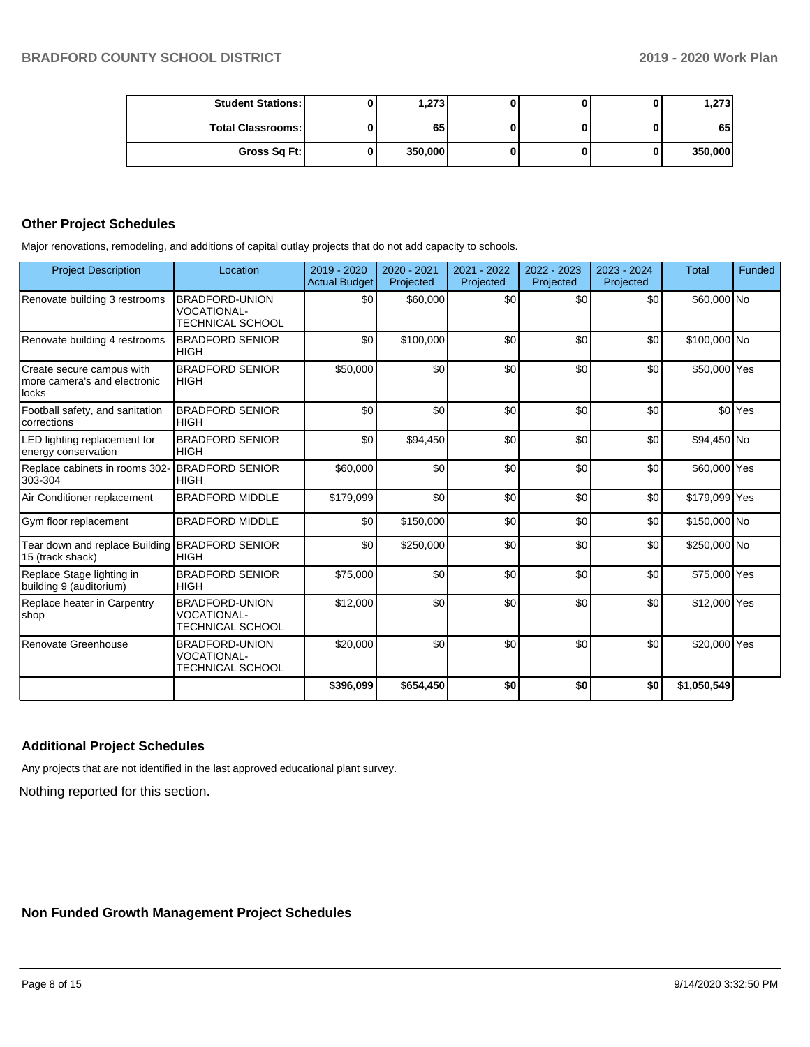| <b>Student Stations:</b> | 1.273   |  | 1.273   |
|--------------------------|---------|--|---------|
| <b>Total Classrooms:</b> | 65      |  | 65      |
| Gross Sq Ft:             | 350,000 |  | 350,000 |

## **Other Project Schedules**

Major renovations, remodeling, and additions of capital outlay projects that do not add capacity to schools.

| <b>Project Description</b>                                          | Location                                                        | 2019 - 2020<br><b>Actual Budget</b> | 2020 - 2021<br>Projected | 2021 - 2022<br>Projected | 2022 - 2023<br>Projected | 2023 - 2024<br>Projected | <b>Total</b>  | Funded             |
|---------------------------------------------------------------------|-----------------------------------------------------------------|-------------------------------------|--------------------------|--------------------------|--------------------------|--------------------------|---------------|--------------------|
| Renovate building 3 restrooms                                       | <b>BRADFORD-UNION</b><br><b>VOCATIONAL-</b><br>TECHNICAL SCHOOL | \$0                                 | \$60,000                 | \$0                      | \$0                      | \$0                      | \$60,000 No   |                    |
| Renovate building 4 restrooms                                       | <b>BRADFORD SENIOR</b><br><b>HIGH</b>                           | \$0                                 | \$100,000                | \$0                      | \$0                      | \$0                      | \$100,000 No  |                    |
| Create secure campus with<br>more camera's and electronic<br>llocks | <b>BRADFORD SENIOR</b><br><b>HIGH</b>                           | \$50,000                            | \$0                      | \$0                      | \$0                      | \$0                      | \$50,000 Yes  |                    |
| Football safety, and sanitation<br><i>corrections</i>               | <b>BRADFORD SENIOR</b><br><b>HIGH</b>                           | \$0                                 | \$0                      | \$0                      | \$0                      | \$0                      |               | \$0 <sup>Yes</sup> |
| LED lighting replacement for<br>energy conservation                 | <b>BRADFORD SENIOR</b><br><b>HIGH</b>                           | \$0                                 | \$94,450                 | \$0                      | \$0                      | \$0                      | \$94,450 No   |                    |
| Replace cabinets in rooms 302-<br>303-304                           | <b>BRADFORD SENIOR</b><br><b>HIGH</b>                           | \$60,000                            | \$0                      | \$0                      | \$0                      | \$0                      | \$60,000 Yes  |                    |
| Air Conditioner replacement                                         | <b>BRADFORD MIDDLE</b>                                          | \$179,099                           | \$0                      | \$0                      | \$0                      | \$0                      | \$179,099 Yes |                    |
| Gym floor replacement                                               | <b>BRADFORD MIDDLE</b>                                          | \$0                                 | \$150,000                | \$0                      | \$0                      | \$0                      | \$150,000 No  |                    |
| Tear down and replace Building<br>15 (track shack)                  | <b>BRADFORD SENIOR</b><br><b>HIGH</b>                           | \$0                                 | \$250,000                | \$0                      | \$0                      | \$0                      | \$250,000 No  |                    |
| Replace Stage lighting in<br>building 9 (auditorium)                | <b>BRADFORD SENIOR</b><br><b>HIGH</b>                           | \$75,000                            | \$0                      | \$0                      | \$0                      | \$0                      | \$75,000 Yes  |                    |
| Replace heater in Carpentry<br>shop                                 | <b>BRADFORD-UNION</b><br><b>VOCATIONAL-</b><br>TECHNICAL SCHOOL | \$12,000                            | \$0                      | \$0                      | \$0                      | \$0                      | \$12,000 Yes  |                    |
| Renovate Greenhouse                                                 | <b>BRADFORD-UNION</b><br><b>VOCATIONAL-</b><br>TECHNICAL SCHOOL | \$20,000                            | \$0                      | \$0                      | \$0                      | \$0                      | \$20,000 Yes  |                    |
|                                                                     |                                                                 | \$396,099                           | \$654,450                | \$0                      | \$0                      | \$0                      | \$1,050,549   |                    |

## **Additional Project Schedules**

Any projects that are not identified in the last approved educational plant survey.

Nothing reported for this section.

**Non Funded Growth Management Project Schedules**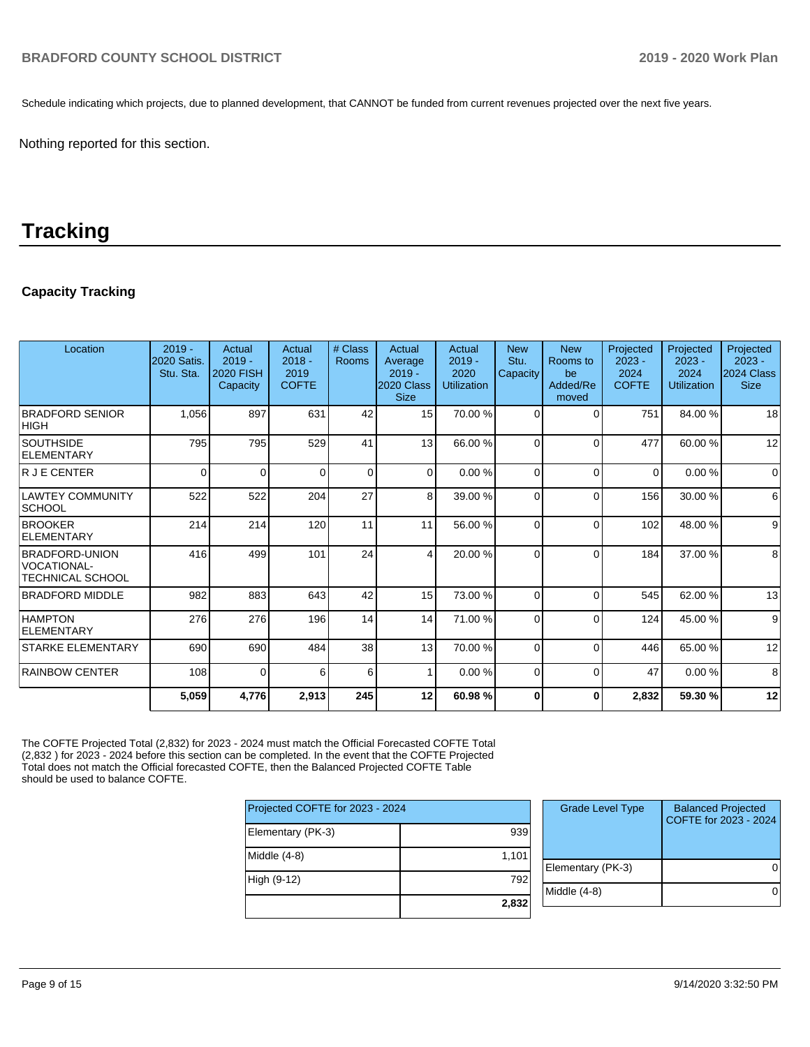Schedule indicating which projects, due to planned development, that CANNOT be funded from current revenues projected over the next five years.

Nothing reported for this section.

# **Tracking**

# **Capacity Tracking**

| Location                                                               | $2019 -$<br><b>2020 Satis.</b><br>Stu. Sta. | Actual<br>$2019 -$<br><b>2020 FISH</b><br>Capacity | <b>Actual</b><br>$2018 -$<br>2019<br><b>COFTE</b> | # Class<br><b>Rooms</b> | Actual<br>Average<br>$2019 -$<br>2020 Class<br><b>Size</b> | Actual<br>$2019 -$<br>2020<br><b>Utilization</b> | <b>New</b><br>Stu.<br>Capacity | <b>New</b><br>Rooms to<br>be<br>Added/Re<br>moved | Projected<br>$2023 -$<br>2024<br><b>COFTE</b> | Projected<br>$2023 -$<br>2024<br><b>Utilization</b> | Projected<br>$2023 -$<br>2024 Class<br><b>Size</b> |
|------------------------------------------------------------------------|---------------------------------------------|----------------------------------------------------|---------------------------------------------------|-------------------------|------------------------------------------------------------|--------------------------------------------------|--------------------------------|---------------------------------------------------|-----------------------------------------------|-----------------------------------------------------|----------------------------------------------------|
| <b>BRADFORD SENIOR</b><br><b>HIGH</b>                                  | 1,056                                       | 897                                                | 631                                               | 42                      | 15                                                         | 70.00 %                                          | 0                              | $\Omega$                                          | 751                                           | 84.00 %                                             | 18                                                 |
| <b>SOUTHSIDE</b><br>ELEMENTARY                                         | 795                                         | 795                                                | 529                                               | 41                      | 13                                                         | 66.00 %                                          | $\Omega$                       | $\Omega$                                          | 477                                           | 60.00 %                                             | 12                                                 |
| R J E CENTER                                                           | $\Omega$                                    | $\Omega$                                           | 0                                                 | $\Omega$                | $\overline{0}$                                             | 0.00%                                            | $\Omega$                       | $\Omega$                                          | $\Omega$                                      | 0.00%                                               | $\Omega$                                           |
| <b>LAWTEY COMMUNITY</b><br><b>SCHOOL</b>                               | 522                                         | 522                                                | 204                                               | 27                      | 8                                                          | 39.00 %                                          | $\Omega$                       | $\Omega$                                          | 156                                           | 30.00 %                                             | 6                                                  |
| <b>BROOKER</b><br>ELEMENTARY                                           | 214                                         | 214                                                | 120                                               | 11                      | 11                                                         | 56.00 %                                          | $\Omega$                       | $\Omega$                                          | 102                                           | 48.00 %                                             | 9                                                  |
| <b>BRADFORD-UNION</b><br><b>VOCATIONAL-</b><br><b>TECHNICAL SCHOOL</b> | 416                                         | 499                                                | 101                                               | 24                      | 4                                                          | 20.00 %                                          | 0                              | $\Omega$                                          | 184                                           | 37.00 %                                             | 8                                                  |
| <b>BRADFORD MIDDLE</b>                                                 | 982                                         | 883                                                | 643                                               | 42                      | 15                                                         | 73.00 %                                          | $\Omega$                       | $\Omega$                                          | 545                                           | 62.00 %                                             | 13                                                 |
| <b>HAMPTON</b><br>ELEMENTARY                                           | 276                                         | 276                                                | 196                                               | 14                      | 14                                                         | 71.00 %                                          | $\Omega$                       | $\Omega$                                          | 124                                           | 45.00 %                                             | 9                                                  |
| <b>STARKE ELEMENTARY</b>                                               | 690                                         | 690                                                | 484                                               | 38                      | 13                                                         | 70.00 %                                          | $\Omega$                       | $\Omega$                                          | 446                                           | 65.00 %                                             | 12                                                 |
| <b>RAINBOW CENTER</b>                                                  | 108                                         | $\Omega$                                           | 6                                                 | 6                       |                                                            | 0.00%                                            | 0                              | $\Omega$                                          | 47                                            | 0.00%                                               | 8                                                  |
|                                                                        | 5,059                                       | 4,776                                              | 2,913                                             | 245                     | 12                                                         | 60.98%                                           | $\bf{0}$                       | $\bf{0}$                                          | 2,832                                         | 59.30 %                                             | 12                                                 |

The COFTE Projected Total (2,832) for 2023 - 2024 must match the Official Forecasted COFTE Total (2,832 ) for 2023 - 2024 before this section can be completed. In the event that the COFTE Projected Total does not match the Official forecasted COFTE, then the Balanced Projected COFTE Table should be used to balance COFTE.

|                   | Projected COFTE for 2023 - 2024 |             |  |  |
|-------------------|---------------------------------|-------------|--|--|
| Elementary (PK-3) | 939                             |             |  |  |
| Middle $(4-8)$    | 1,101                           | Elementar   |  |  |
| High (9-12)       | 792                             | Middle (4-8 |  |  |
|                   | 2,832                           |             |  |  |

| <b>Grade Level Type</b> | <b>Balanced Projected</b><br>COFTE for 2023 - 2024 |
|-------------------------|----------------------------------------------------|
| Elementary (PK-3)       |                                                    |
| Middle (4-8)            |                                                    |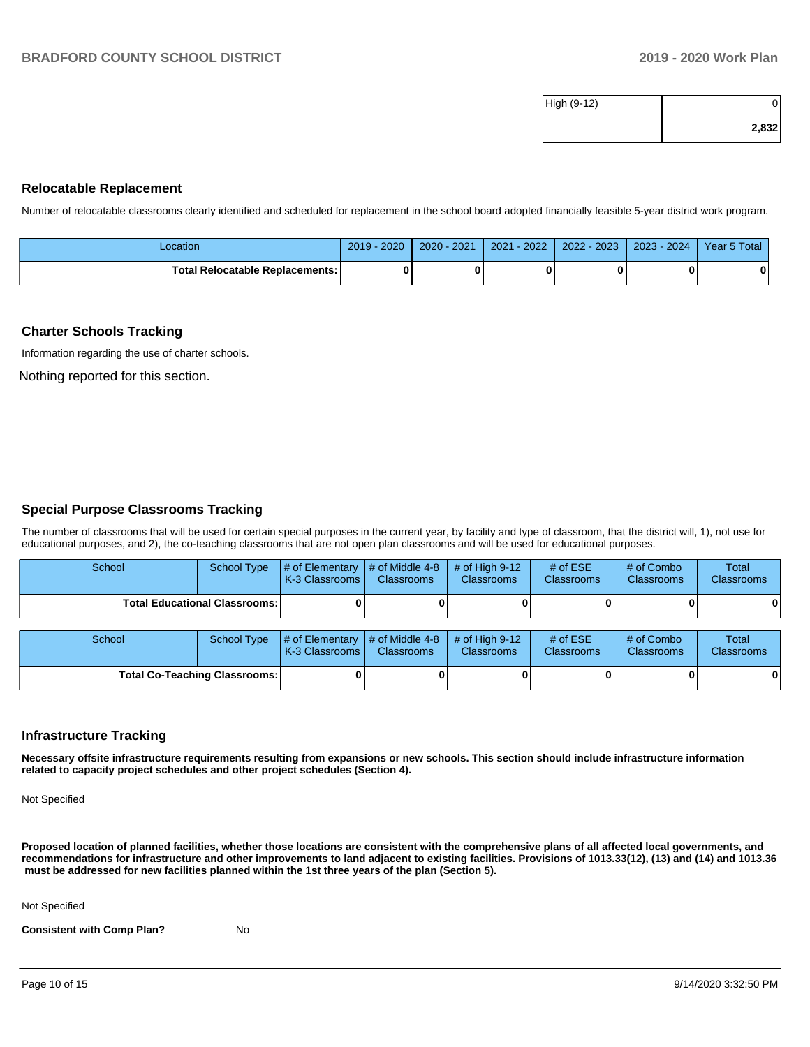| High (9-12) |       |
|-------------|-------|
|             | 2,832 |

#### **Relocatable Replacement**

Number of relocatable classrooms clearly identified and scheduled for replacement in the school board adopted financially feasible 5-year district work program.

| Location                               | 2020<br>$2019 -$ | 2020 - 2021 | $-2022$<br>2021 | $2022 - 2023$ | 2023 - 2024 | Year 5 Total |
|----------------------------------------|------------------|-------------|-----------------|---------------|-------------|--------------|
| <b>Total Relocatable Replacements:</b> |                  |             |                 |               |             |              |

#### **Charter Schools Tracking**

Information regarding the use of charter schools.

Nothing reported for this section.

#### **Special Purpose Classrooms Tracking**

The number of classrooms that will be used for certain special purposes in the current year, by facility and type of classroom, that the district will, 1), not use for educational purposes, and 2), the co-teaching classrooms that are not open plan classrooms and will be used for educational purposes.

| School | School Type                            | $\parallel$ # of Elementary $\parallel$ # of Middle 4-8 $\parallel$ # of High 9-12<br><b>K-3 Classrooms I</b> | <b>Classrooms</b> | <b>Classrooms</b> | # of $ESE$<br><b>Classrooms</b> | # of Combo<br><b>Classrooms</b> | Total<br><b>Classrooms</b> |
|--------|----------------------------------------|---------------------------------------------------------------------------------------------------------------|-------------------|-------------------|---------------------------------|---------------------------------|----------------------------|
|        | <b>Total Educational Classrooms: I</b> |                                                                                                               |                   |                   |                                 |                                 | 01                         |

| School                               |  | School Type $\left  \frac{1}{2}$ of Elementary $\left  \frac{1}{2}$ of Middle 4-8 $\right $ # of High 9-12<br><b>K-3 Classrooms I</b> | <b>Classrooms</b> | <b>Classrooms</b> | # of $ESE$<br><b>Classrooms</b> | # of Combo<br><b>Classrooms</b> | <b>Total</b><br><b>Classrooms</b> |
|--------------------------------------|--|---------------------------------------------------------------------------------------------------------------------------------------|-------------------|-------------------|---------------------------------|---------------------------------|-----------------------------------|
| <b>Total Co-Teaching Classrooms:</b> |  |                                                                                                                                       |                   |                   |                                 | 0                               | 0                                 |

#### **Infrastructure Tracking**

**Necessary offsite infrastructure requirements resulting from expansions or new schools. This section should include infrastructure information related to capacity project schedules and other project schedules (Section 4).** 

Not Specified

**Proposed location of planned facilities, whether those locations are consistent with the comprehensive plans of all affected local governments, and recommendations for infrastructure and other improvements to land adjacent to existing facilities. Provisions of 1013.33(12), (13) and (14) and 1013.36** must be addressed for new facilities planned within the 1st three years of the plan (Section 5).

Not Specified

**Consistent with Comp Plan?** No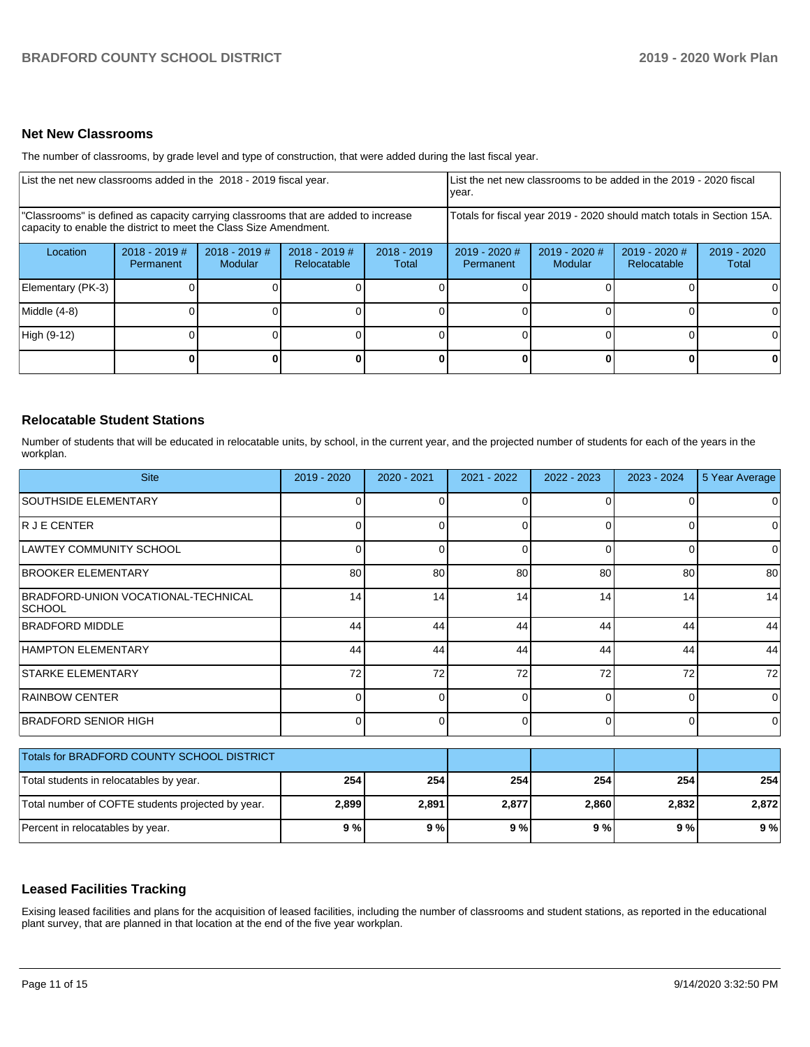### **Net New Classrooms**

The number of classrooms, by grade level and type of construction, that were added during the last fiscal year.

| List the net new classrooms added in the 2018 - 2019 fiscal year.                                                                                       | List the net new classrooms to be added in the 2019 - 2020 fiscal<br>year. |                            |                                |                        |                              |                            |                                                                        |                      |
|---------------------------------------------------------------------------------------------------------------------------------------------------------|----------------------------------------------------------------------------|----------------------------|--------------------------------|------------------------|------------------------------|----------------------------|------------------------------------------------------------------------|----------------------|
| "Classrooms" is defined as capacity carrying classrooms that are added to increase<br>capacity to enable the district to meet the Class Size Amendment. |                                                                            |                            |                                |                        |                              |                            | Totals for fiscal year 2019 - 2020 should match totals in Section 15A. |                      |
| Location                                                                                                                                                | $2018 - 2019$ #<br><b>Permanent</b>                                        | $2018 - 2019$ #<br>Modular | $2018 - 2019$ #<br>Relocatable | $2018 - 2019$<br>Total | $2019 - 2020$ #<br>Permanent | $2019 - 2020$ #<br>Modular | 2019 - 2020 #<br>Relocatable                                           | 2019 - 2020<br>Total |
| Elementary (PK-3)                                                                                                                                       |                                                                            |                            |                                |                        |                              |                            |                                                                        |                      |
| Middle (4-8)                                                                                                                                            |                                                                            |                            |                                |                        |                              |                            |                                                                        | ΩI                   |
| High (9-12)                                                                                                                                             |                                                                            |                            |                                |                        |                              |                            |                                                                        |                      |
|                                                                                                                                                         |                                                                            |                            |                                | 0                      |                              |                            | $\mathbf{0}$                                                           | 0                    |

#### **Relocatable Student Stations**

Number of students that will be educated in relocatable units, by school, in the current year, and the projected number of students for each of the years in the workplan.

| <b>Site</b>                                          | 2019 - 2020     | $2020 - 2021$ | 2021 - 2022 | 2022 - 2023 | 2023 - 2024    | 5 Year Average |
|------------------------------------------------------|-----------------|---------------|-------------|-------------|----------------|----------------|
| SOUTHSIDE ELEMENTARY                                 |                 | U             |             |             | 0              | $\overline{0}$ |
| <b>R J E CENTER</b>                                  |                 |               |             |             | 0              | $\Omega$       |
| <b>LAWTEY COMMUNITY SCHOOL</b>                       |                 | $\Omega$      |             |             | $\overline{0}$ | $\overline{0}$ |
| <b>BROOKER ELEMENTARY</b>                            | 80              | 80            | 80          | 80          | 80             | 80             |
| BRADFORD-UNION VOCATIONAL-TECHNICAL<br><b>SCHOOL</b> | 14 <sup>1</sup> | 14            | 14          | 14          | 14             | 14             |
| <b>BRADFORD MIDDLE</b>                               | 44              | 44            | 44          | 44          | 44             | 44             |
| HAMPTON ELEMENTARY                                   | 44              | 44            | 44          | 44          | 44             | 44             |
| <b>STARKE ELEMENTARY</b>                             | 72              | 72            | 72          | 72          | 72             | 72             |
| <b>RAINBOW CENTER</b>                                |                 | O             |             |             | 0              | $\overline{0}$ |
| <b>BRADFORD SENIOR HIGH</b>                          | 0               | 0             | ∩           | 0           | $\overline{0}$ | $\overline{0}$ |

| <b>Totals for BRADFORD COUNTY SCHOOL DISTRICT</b> |       |       |       |       |       |       |
|---------------------------------------------------|-------|-------|-------|-------|-------|-------|
| Total students in relocatables by year.           | 254   | 254 l | 254   | 254   | 254 l | 254   |
| Total number of COFTE students projected by year. | 2,899 | 2,891 | 2,877 | 2,860 | 2.832 | 2.872 |
| Percent in relocatables by year.                  | 9%    | 9%    | 9%    | 9 % l | 9 % l | 9%    |

### **Leased Facilities Tracking**

Exising leased facilities and plans for the acquisition of leased facilities, including the number of classrooms and student stations, as reported in the educational plant survey, that are planned in that location at the end of the five year workplan.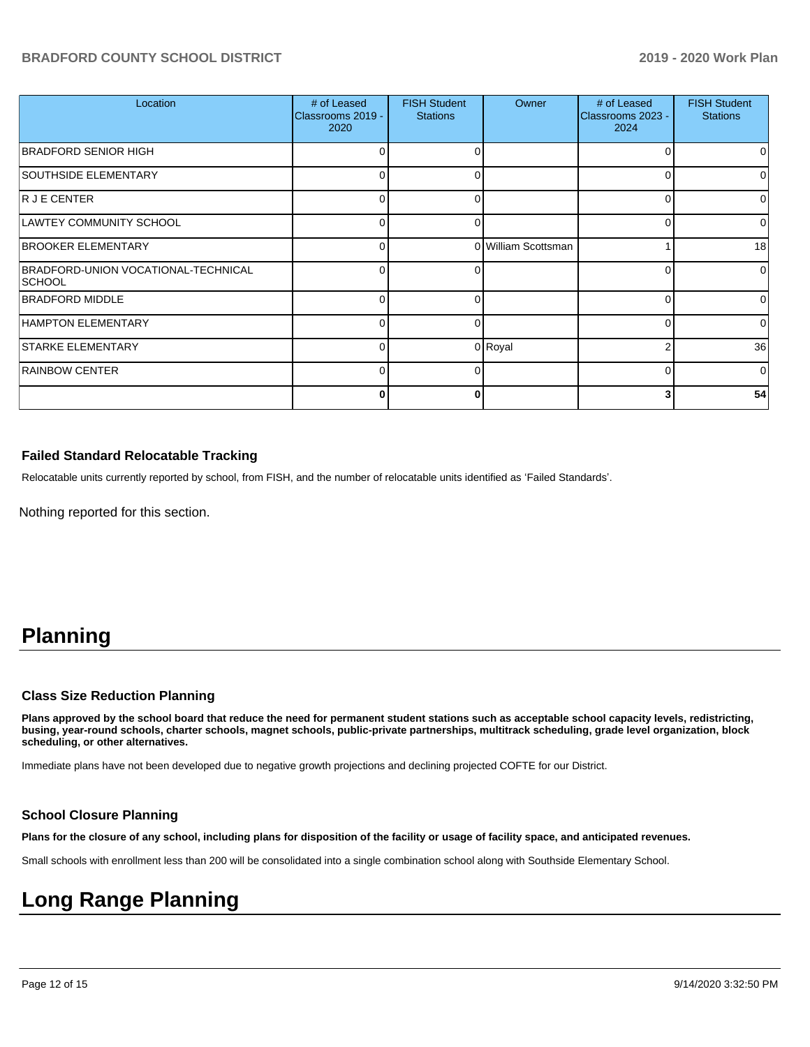## **BRADFORD COUNTY SCHOOL DISTRICT 2019 - 2020 Work Plan**

| Location                                       | # of Leased<br>Classrooms 2019 -<br>2020 | <b>FISH Student</b><br><b>Stations</b> | Owner               | # of Leased<br>Classrooms 2023 -<br>2024 | <b>FISH Student</b><br><b>Stations</b> |
|------------------------------------------------|------------------------------------------|----------------------------------------|---------------------|------------------------------------------|----------------------------------------|
| BRADFORD SENIOR HIGH                           |                                          | U                                      |                     | $\Omega$                                 |                                        |
| <b>SOUTHSIDE ELEMENTARY</b>                    |                                          | $\Omega$                               |                     | 0                                        |                                        |
| R J E CENTER                                   | 0                                        | 0                                      |                     | 0                                        | 0                                      |
| LAWTEY COMMUNITY SCHOOL                        | 0                                        | 0                                      |                     | $\Omega$                                 | <sup>0</sup>                           |
| <b>BROOKER ELEMENTARY</b>                      | 0                                        |                                        | 0 William Scottsman |                                          | 18                                     |
| BRADFORD-UNION VOCATIONAL-TECHNICAL<br> SCHOOL | 0                                        | 0                                      |                     | 0                                        | 0                                      |
| BRADFORD MIDDLE                                | <sup>n</sup>                             | 0                                      |                     | $\Omega$                                 | <sup>0</sup>                           |
| <b>HAMPTON ELEMENTARY</b>                      | 0                                        | $\Omega$                               |                     | $\Omega$                                 | 0                                      |
| <b>STARKE ELEMENTARY</b>                       | $\Omega$                                 |                                        | 0 Royal             | 2                                        | 36                                     |
| <b>RAINBOW CENTER</b>                          | 0                                        | 0                                      |                     | $\Omega$                                 | $\Omega$                               |
|                                                | U                                        | ŋ                                      |                     | 3                                        | 54                                     |

#### **Failed Standard Relocatable Tracking**

Relocatable units currently reported by school, from FISH, and the number of relocatable units identified as 'Failed Standards'.

Nothing reported for this section.

# **Planning**

#### **Class Size Reduction Planning**

**Plans approved by the school board that reduce the need for permanent student stations such as acceptable school capacity levels, redistricting, busing, year-round schools, charter schools, magnet schools, public-private partnerships, multitrack scheduling, grade level organization, block scheduling, or other alternatives.**

Immediate plans have not been developed due to negative growth projections and declining projected COFTE for our District.

## **School Closure Planning**

**Plans for the closure of any school, including plans for disposition of the facility or usage of facility space, and anticipated revenues.** 

Small schools with enrollment less than 200 will be consolidated into a single combination school along with Southside Elementary School.

# **Long Range Planning**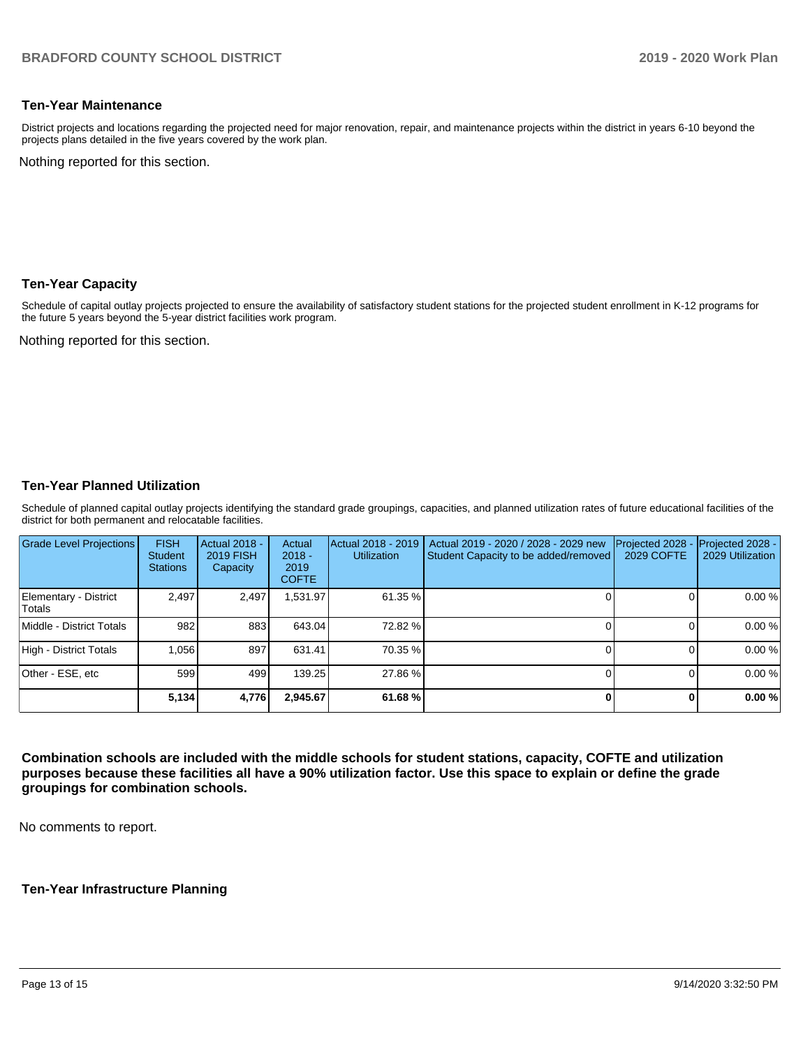#### **Ten-Year Maintenance**

District projects and locations regarding the projected need for major renovation, repair, and maintenance projects within the district in years 6-10 beyond the projects plans detailed in the five years covered by the work plan.

Nothing reported for this section.

#### **Ten-Year Capacity**

Schedule of capital outlay projects projected to ensure the availability of satisfactory student stations for the projected student enrollment in K-12 programs for the future 5 years beyond the 5-year district facilities work program.

Nothing reported for this section.

#### **Ten-Year Planned Utilization**

Schedule of planned capital outlay projects identifying the standard grade groupings, capacities, and planned utilization rates of future educational facilities of the district for both permanent and relocatable facilities.

| <b>Grade Level Projections</b>  | <b>FISH</b><br>Student<br><b>Stations</b> | Actual 2018 -<br><b>2019 FISH</b><br>Capacity | Actual<br>$2018 -$<br>2019<br><b>COFTE</b> | Actual 2018 - 2019<br><b>Utilization</b> | Actual 2019 - 2020 / 2028 - 2029 new<br>Student Capacity to be added/removed | Projected 2028<br>2029 COFTE | Projected 2028 -<br>2029 Utilization |
|---------------------------------|-------------------------------------------|-----------------------------------------------|--------------------------------------------|------------------------------------------|------------------------------------------------------------------------------|------------------------------|--------------------------------------|
| Elementary - District<br>Totals | 2.497                                     | 2.497                                         | .531.97                                    | 61.35 %                                  |                                                                              |                              | 0.00%                                |
| Middle - District Totals        | 982                                       | 883                                           | 643.04                                     | 72.82 %                                  |                                                                              |                              | 0.00%                                |
| High - District Totals          | 1.056                                     | 897                                           | 631.41                                     | 70.35 %                                  |                                                                              |                              | 0.00%                                |
| Other - ESE, etc                | 599                                       | 499                                           | 139.25                                     | 27.86 %                                  |                                                                              |                              | 0.00%                                |
|                                 | 5,134                                     | 4,776                                         | 2.945.67                                   | 61.68%                                   |                                                                              |                              | 0.00%                                |

**Combination schools are included with the middle schools for student stations, capacity, COFTE and utilization purposes because these facilities all have a 90% utilization factor. Use this space to explain or define the grade groupings for combination schools.** 

No comments to report.

## **Ten-Year Infrastructure Planning**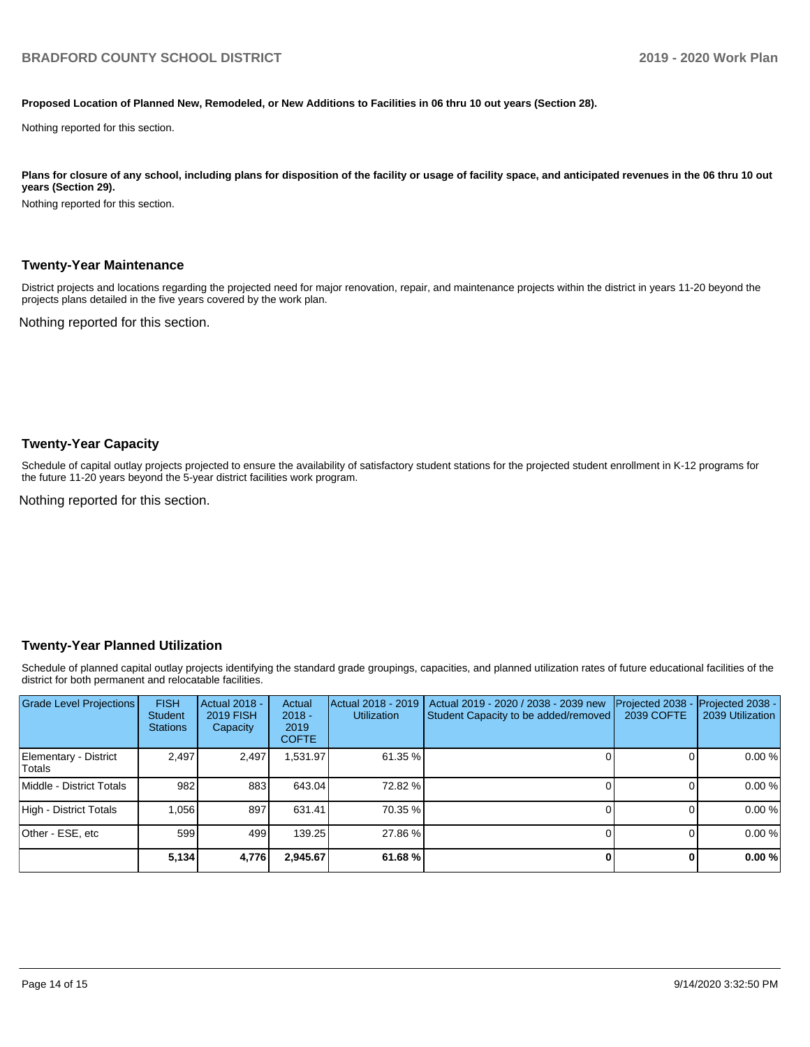#### **Proposed Location of Planned New, Remodeled, or New Additions to Facilities in 06 thru 10 out years (Section 28).**

Nothing reported for this section.

Plans for closure of any school, including plans for disposition of the facility or usage of facility space, and anticipated revenues in the 06 thru 10 out **years (Section 29).**

Nothing reported for this section.

#### **Twenty-Year Maintenance**

District projects and locations regarding the projected need for major renovation, repair, and maintenance projects within the district in years 11-20 beyond the projects plans detailed in the five years covered by the work plan.

Nothing reported for this section.

#### **Twenty-Year Capacity**

Schedule of capital outlay projects projected to ensure the availability of satisfactory student stations for the projected student enrollment in K-12 programs for the future 11-20 years beyond the 5-year district facilities work program.

Nothing reported for this section.

#### **Twenty-Year Planned Utilization**

Schedule of planned capital outlay projects identifying the standard grade groupings, capacities, and planned utilization rates of future educational facilities of the district for both permanent and relocatable facilities.

| Grade Level Projections         | <b>FISH</b><br><b>Student</b><br><b>Stations</b> | <b>Actual 2018 -</b><br><b>2019 FISH</b><br>Capacity | Actual<br>$2018 -$<br>2019<br><b>COFTE</b> | Actual 2018 - 2019<br><b>Utilization</b> | Actual 2019 - 2020 / 2038 - 2039 new<br>Student Capacity to be added/removed | Projected 2038<br>2039 COFTE | Projected 2038 -<br>2039 Utilization |
|---------------------------------|--------------------------------------------------|------------------------------------------------------|--------------------------------------------|------------------------------------------|------------------------------------------------------------------------------|------------------------------|--------------------------------------|
| Elementary - District<br>Totals | 2.497                                            | 2,497                                                | .531.97                                    | 61.35 %                                  |                                                                              |                              | 0.00%                                |
| Middle - District Totals        | 982                                              | 883                                                  | 643.04                                     | 72.82 %                                  |                                                                              |                              | 0.00%                                |
| High - District Totals          | 1.056                                            | 897                                                  | 631.41                                     | 70.35 %                                  |                                                                              |                              | 0.00%                                |
| Other - ESE, etc                | 599                                              | 499                                                  | 139.25                                     | 27.86 %                                  |                                                                              |                              | 0.00%                                |
|                                 | 5,134                                            | 4,776                                                | 2,945.67                                   | 61.68 %                                  |                                                                              |                              | 0.00%                                |